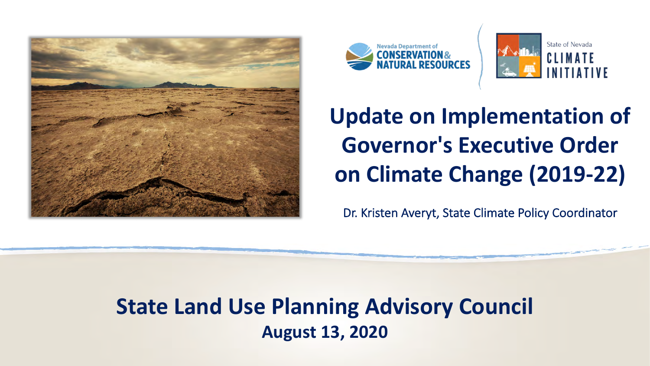





# **Update on Implementation of Governor's Executive Order on Climate Change (2019-22)**

Dr. Kristen Averyt, State Climate Policy Coordinator

**State Land Use Planning Advisory Council August 13, 2020**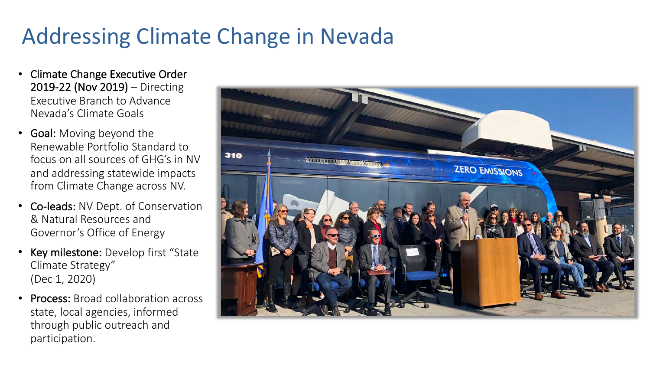## Addressing Climate Change in Nevada

- Climate Change Executive Order 2019-22 (Nov 2019) – Directing Executive Branch to Advance Nevada's Climate Goals
- Goal: Moving beyond the Renewable Portfolio Standard to focus on all sources of GHG's in NV and addressing statewide impacts from Climate Change across NV.
- Co-leads: NV Dept. of Conservation & Natural Resources and Governor's Office of Energy
- Key milestone: Develop first "State Climate Strategy" (Dec 1, 2020)
- Process: Broad collaboration across state, local agencies, informed through public outreach and participation.

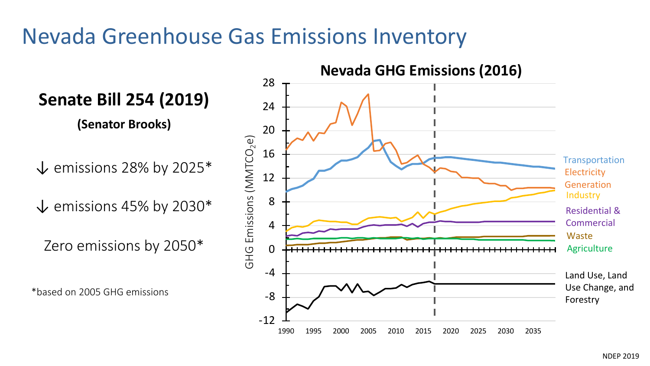## Nevada Greenhouse Gas Emissions Inventory

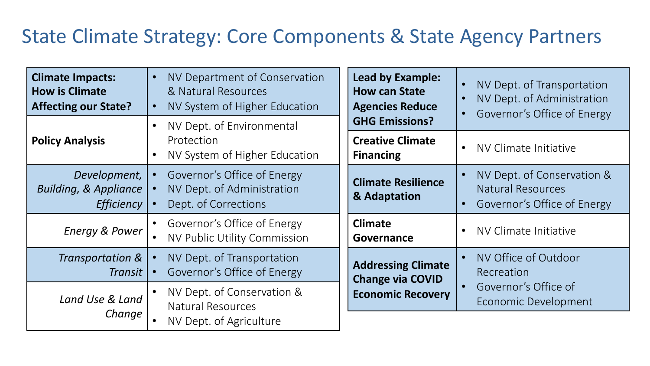### State Climate Strategy: Core Components & State Agency Partners

| <b>Climate Impacts:</b><br><b>How is Climate</b><br><b>Affecting our State?</b> | NV Department of Conservation<br>& Natural Resources<br>NV System of Higher Education | Lead by Example:<br><b>How can State</b><br><b>Agencies Reduce</b>               | NV Dept. of Transportation<br>NV Dept. of Administration<br>Governor's Office of Energy |
|---------------------------------------------------------------------------------|---------------------------------------------------------------------------------------|----------------------------------------------------------------------------------|-----------------------------------------------------------------------------------------|
| <b>Policy Analysis</b>                                                          | NV Dept. of Environmental<br>Protection<br>NV System of Higher Education              | <b>GHG Emissions?</b><br><b>Creative Climate</b><br><b>Financing</b>             | NV Climate Initiative                                                                   |
| Development,<br><b>Building, &amp; Appliance</b><br><b>Efficiency</b>           | Governor's Office of Energy<br>NV Dept. of Administration<br>Dept. of Corrections     | <b>Climate Resilience</b><br>& Adaptation                                        | NV Dept. of Conservation &<br><b>Natural Resources</b><br>Governor's Office of Energy   |
| <b>Energy &amp; Power</b>                                                       | Governor's Office of Energy<br>NV Public Utility Commission                           | <b>Climate</b><br>Governance                                                     | NV Climate Initiative                                                                   |
| Transportation &<br>Transit                                                     | NV Dept. of Transportation<br>Governor's Office of Energy                             | <b>Addressing Climate</b><br><b>Change via COVID</b><br><b>Economic Recovery</b> | NV Office of Outdoor<br>Recreation                                                      |
| Land Use & Land<br>Change                                                       | NV Dept. of Conservation &<br><b>Natural Resources</b><br>NV Dept. of Agriculture     |                                                                                  | Governor's Office of<br>Economic Development                                            |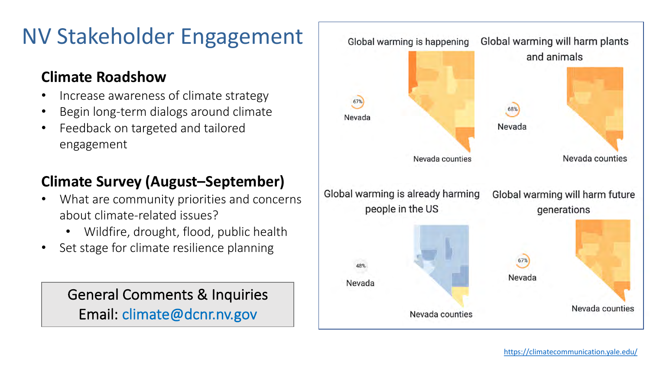## NV Stakeholder Engagement

#### **Climate Roadshow**

- Increase awareness of climate strategy
- Begin long-term dialogs around climate
- Feedback on targeted and tailored engagement

#### **Climate Survey (August–September)**

- What are community priorities and concerns about climate-related issues?
	- Wildfire, drought, flood, public health
- Set stage for climate resilience planning

General Comments & Inquiries Email: climate@dcnr.nv.gov

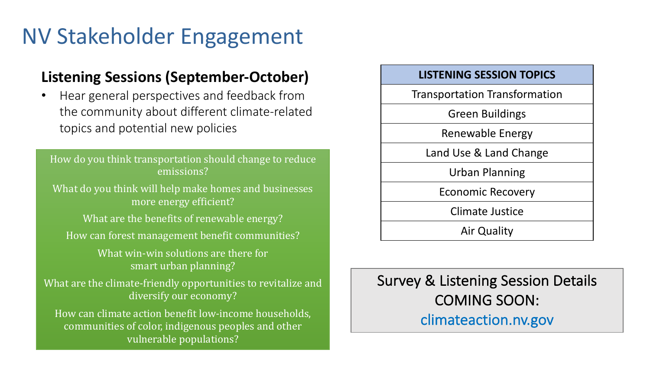## NV Stakeholder Engagement

#### **Listening Sessions (September-October)**

• Hear general perspectives and feedback from the community about different climate-related topics and potential new policies

How do you think transportation should change to reduce emissions? What do you think will help make homes and businesses more energy efficient? What are the benefits of renewable energy? How can forest management benefit communities? What win-win solutions are there for smart urban planning? What are the climate-friendly opportunities to revitalize and diversify our economy? How can climate action benefit low-income households, communities of color, indigenous peoples and other vulnerable populations?



#### Survey & Listening Session Details COMING SOON: climateaction.nv.gov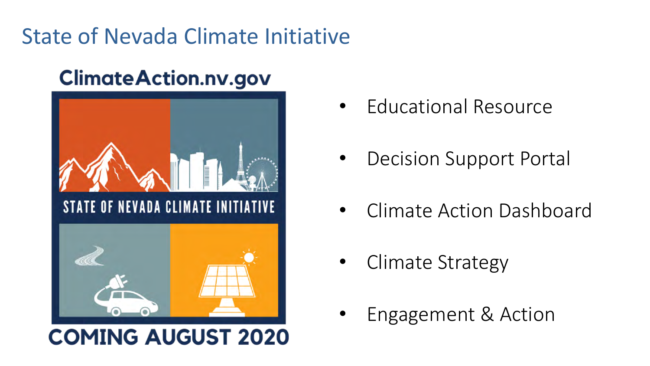## State of Nevada Climate Initiative

### **Climate Action.nv.gov**



### **COMING AUGUST 2020**

- Educational Resource
- Decision Support Portal
- Climate Action Dashboard
- Climate Strategy
- Engagement & Action